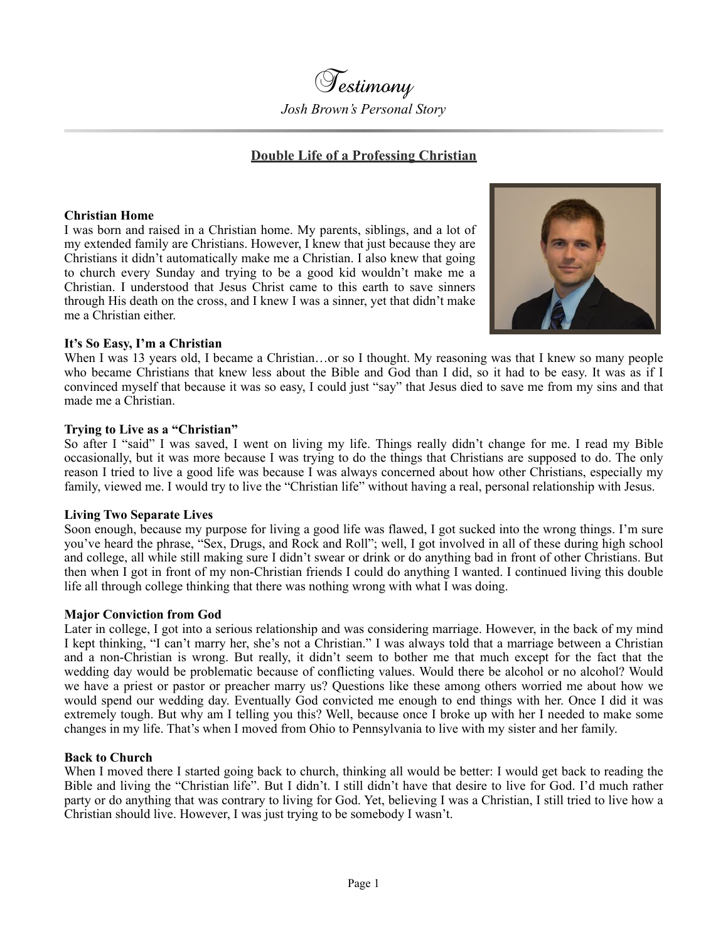Testimony *Josh Brown's Personal Story*

# **Double Life of a Professing Christian**

### **Christian Home**

I was born and raised in a Christian home. My parents, siblings, and a lot of my extended family are Christians. However, I knew that just because they are Christians it didn't automatically make me a Christian. I also knew that going to church every Sunday and trying to be a good kid wouldn't make me a Christian. I understood that Jesus Christ came to this earth to save sinners through His death on the cross, and I knew I was a sinner, yet that didn't make me a Christian either.



## **It's So Easy, I'm a Christian**

When I was 13 years old, I became a Christian...or so I thought. My reasoning was that I knew so many people who became Christians that knew less about the Bible and God than I did, so it had to be easy. It was as if I convinced myself that because it was so easy, I could just "say" that Jesus died to save me from my sins and that made me a Christian.

#### **Trying to Live as a "Christian"**

So after I "said" I was saved, I went on living my life. Things really didn't change for me. I read my Bible occasionally, but it was more because I was trying to do the things that Christians are supposed to do. The only reason I tried to live a good life was because I was always concerned about how other Christians, especially my family, viewed me. I would try to live the "Christian life" without having a real, personal relationship with Jesus.

#### **Living Two Separate Lives**

Soon enough, because my purpose for living a good life was flawed, I got sucked into the wrong things. I'm sure you've heard the phrase, "Sex, Drugs, and Rock and Roll"; well, I got involved in all of these during high school and college, all while still making sure I didn't swear or drink or do anything bad in front of other Christians. But then when I got in front of my non-Christian friends I could do anything I wanted. I continued living this double life all through college thinking that there was nothing wrong with what I was doing.

#### **Major Conviction from God**

Later in college, I got into a serious relationship and was considering marriage. However, in the back of my mind I kept thinking, "I can't marry her, she's not a Christian." I was always told that a marriage between a Christian and a non-Christian is wrong. But really, it didn't seem to bother me that much except for the fact that the wedding day would be problematic because of conflicting values. Would there be alcohol or no alcohol? Would we have a priest or pastor or preacher marry us? Questions like these among others worried me about how we would spend our wedding day. Eventually God convicted me enough to end things with her. Once I did it was extremely tough. But why am I telling you this? Well, because once I broke up with her I needed to make some changes in my life. That's when I moved from Ohio to Pennsylvania to live with my sister and her family.

### **Back to Church**

When I moved there I started going back to church, thinking all would be better: I would get back to reading the Bible and living the "Christian life". But I didn't. I still didn't have that desire to live for God. I'd much rather party or do anything that was contrary to living for God. Yet, believing I was a Christian, I still tried to live how a Christian should live. However, I was just trying to be somebody I wasn't.